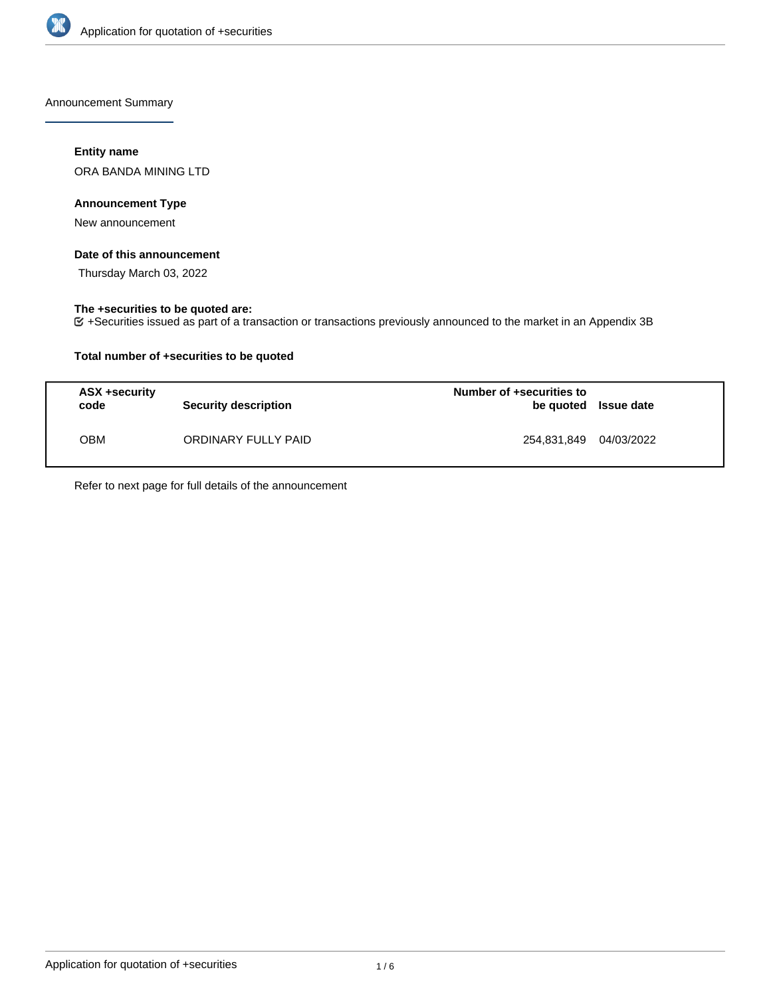

Announcement Summary

## **Entity name**

ORA BANDA MINING LTD

## **Announcement Type**

New announcement

## **Date of this announcement**

Thursday March 03, 2022

## **The +securities to be quoted are:**

+Securities issued as part of a transaction or transactions previously announced to the market in an Appendix 3B

## **Total number of +securities to be quoted**

| ASX +security<br>code | Security description | Number of +securities to<br>be quoted Issue date |            |
|-----------------------|----------------------|--------------------------------------------------|------------|
| ОВМ                   | ORDINARY FULLY PAID  | 254,831,849                                      | 04/03/2022 |

Refer to next page for full details of the announcement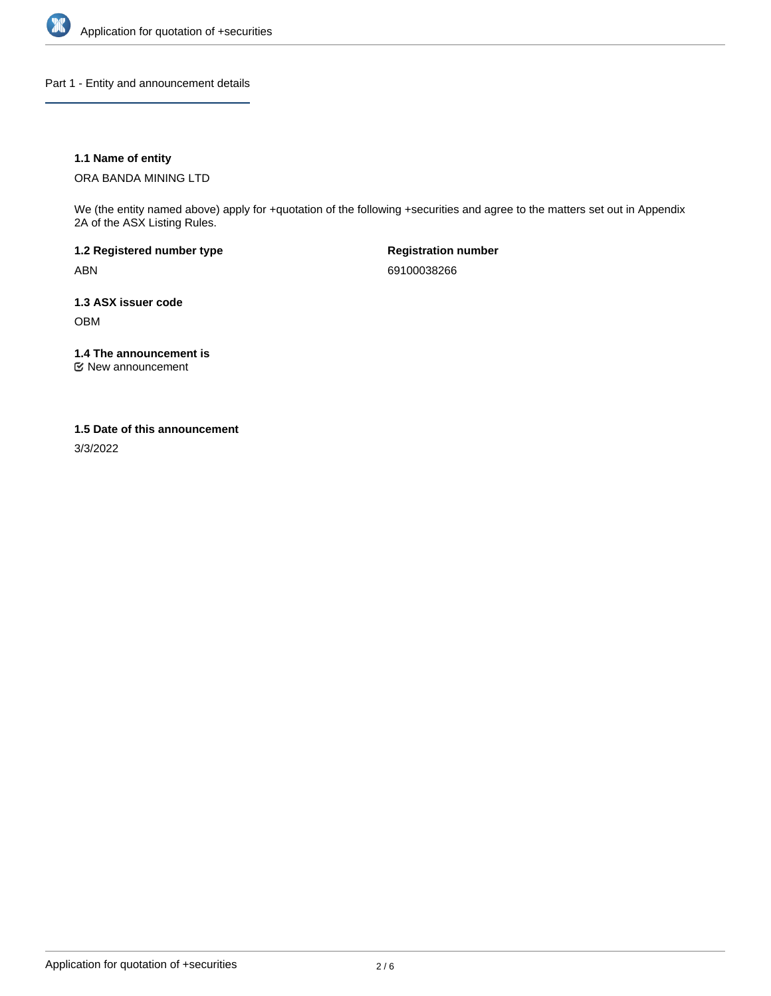

Part 1 - Entity and announcement details

## **1.1 Name of entity**

ORA BANDA MINING LTD

We (the entity named above) apply for +quotation of the following +securities and agree to the matters set out in Appendix 2A of the ASX Listing Rules.

**1.2 Registered number type** ABN

**Registration number** 69100038266

**1.3 ASX issuer code** OBM

**1.4 The announcement is**

New announcement

#### **1.5 Date of this announcement**

3/3/2022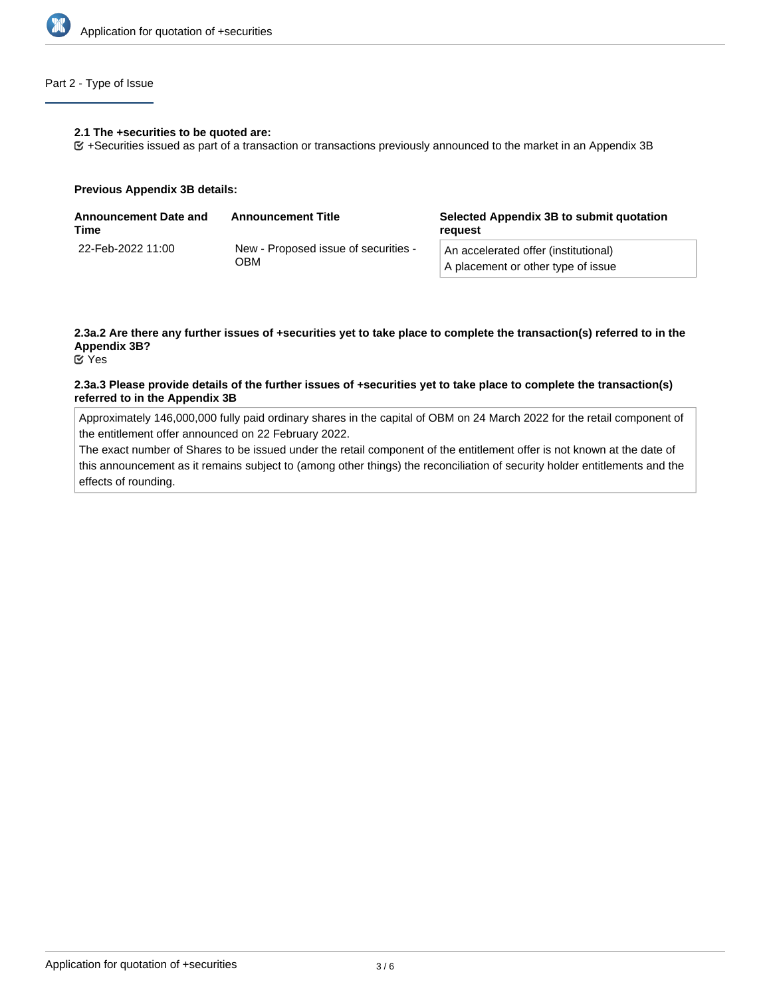

## Part 2 - Type of Issue

#### **2.1 The +securities to be quoted are:**

+Securities issued as part of a transaction or transactions previously announced to the market in an Appendix 3B

#### **Previous Appendix 3B details:**

| <b>Announcement Date and</b><br>Time | <b>Announcement Title</b>                   | Selected Appendix 3B to submit quotation<br>reauest                        |  |
|--------------------------------------|---------------------------------------------|----------------------------------------------------------------------------|--|
| 22-Feb-2022 11:00                    | New - Proposed issue of securities -<br>ОВМ | An accelerated offer (institutional)<br>A placement or other type of issue |  |

# **2.3a.2 Are there any further issues of +securities yet to take place to complete the transaction(s) referred to in the Appendix 3B?**

Yes

### **2.3a.3 Please provide details of the further issues of +securities yet to take place to complete the transaction(s) referred to in the Appendix 3B**

Approximately 146,000,000 fully paid ordinary shares in the capital of OBM on 24 March 2022 for the retail component of the entitlement offer announced on 22 February 2022.

The exact number of Shares to be issued under the retail component of the entitlement offer is not known at the date of this announcement as it remains subject to (among other things) the reconciliation of security holder entitlements and the effects of rounding.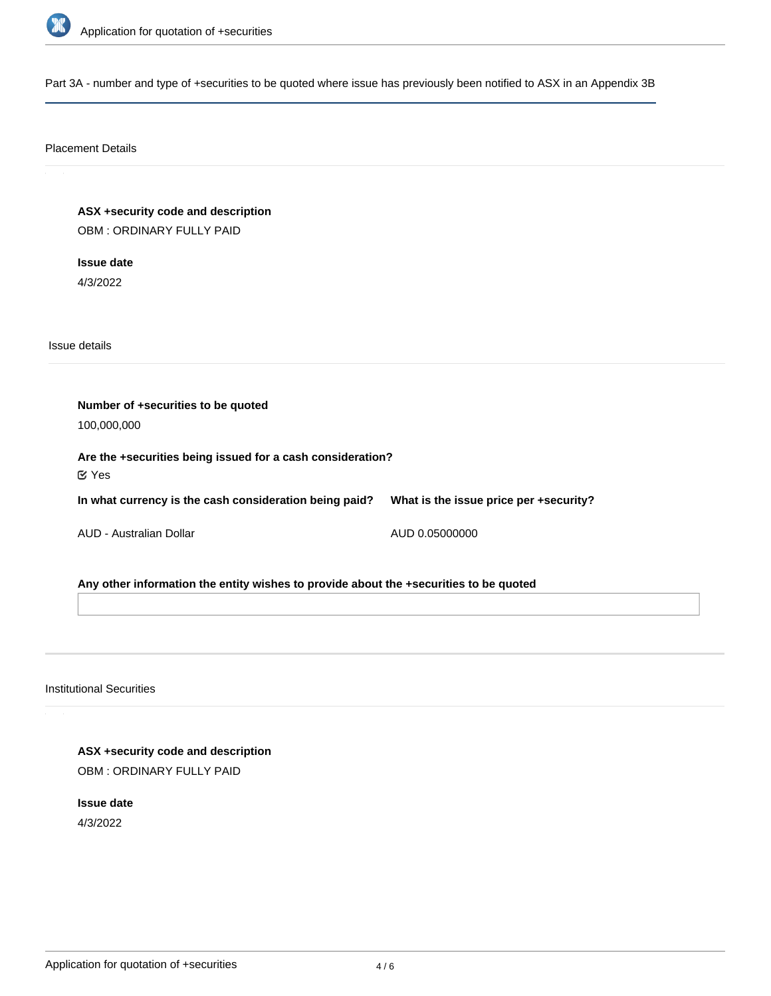

Part 3A - number and type of +securities to be quoted where issue has previously been notified to ASX in an Appendix 3B

#### Placement Details

**ASX +security code and description** OBM : ORDINARY FULLY PAID

**Issue date** 4/3/2022

Issue details

**Number of +securities to be quoted** 100,000,000 **Are the +securities being issued for a cash consideration? In what currency is the cash consideration being paid?** AUD - Australian Dollar **What is the issue price per +security?** AUD 0.05000000 Yes

**Any other information the entity wishes to provide about the +securities to be quoted**

Institutional Securities

**ASX +security code and description** OBM : ORDINARY FULLY PAID

**Issue date** 4/3/2022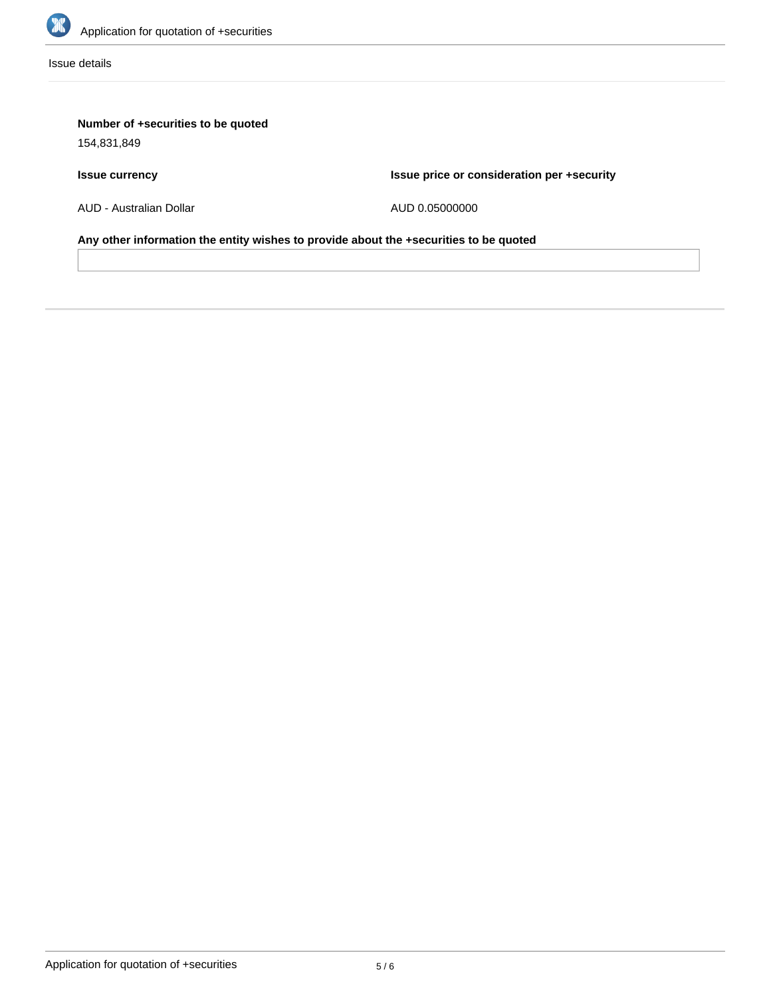

Issue details

# **Number of +securities to be quoted**

154,831,849

# **Issue currency**

**Issue price or consideration per +security**

AUD - Australian Dollar

AUD 0.05000000

**Any other information the entity wishes to provide about the +securities to be quoted**